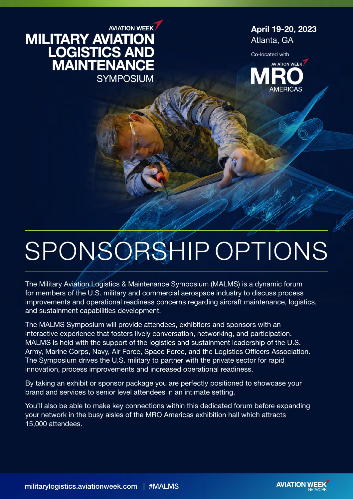## **AVIATION WEEK MILITARY AVIATION<br>LOGISTICS AND<br>MAINTENANCE SYMPOSIUM**

April 19-20, 2023 Atlanta, GA

Co-located with



# SPONSORSHIP OPTIONS

The Military Aviation Logistics & Maintenance Symposium (MALMS) is a dynamic forum for members of the U.S. military and commercial aerospace industry to discuss process improvements and operational readiness concerns regarding aircraft maintenance, logistics, and sustainment capabilities development.

The MALMS Symposium will provide attendees, exhibitors and sponsors with an interactive experience that fosters lively conversation, networking, and participation. MALMS is held with the support of the logistics and sustainment leadership of the U.S. Army, Marine Corps, Navy, Air Force, Space Force, and the Logistics Officers Association. The Symposium drives the U.S. military to partner with the private sector for rapid innovation, process improvements and increased operational readiness.

By taking an exhibit or sponsor package you are perfectly positioned to showcase your brand and services to senior level attendees in an intimate setting.

You'll also be able to make key connections within this dedicated forum before expanding your network in the busy aisles of the MRO Americas exhibition hall which attracts 15,000 attendees.

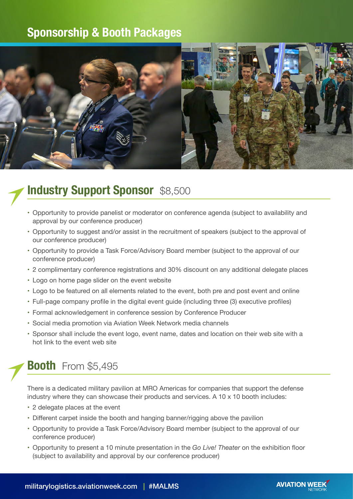## **Sponsorship & Booth Packages**



## **Industry Support Sponsor** \$8,500

- • Opportunity to provide panelist or moderator on conference agenda (subject to availability and approval by our conference producer)
- Opportunity to suggest and/or assist in the recruitment of speakers (subject to the approval of our conference producer)
- • Opportunity to provide a Task Force/Advisory Board member (subject to the approval of our conference producer)
- • 2 complimentary conference registrations and 30% discount on any additional delegate places
- Logo on home page slider on the event website
- • Logo to be featured on all elements related to the event, both pre and post event and online
- • Full-page company profile in the digital event guide (including three (3) executive profiles)
- Formal acknowledgement in conference session by Conference Producer
- Social media promotion via Aviation Week Network media channels
- Sponsor shall include the event logo, event name, dates and location on their web site with a hot link to the event web site

## **Booth** From \$5,495

There is a dedicated military pavilion at MRO Americas for companies that support the defense industry where they can showcase their products and services. A  $10 \times 10$  booth includes:

- 2 delegate places at the event
- Different carpet inside the booth and hanging banner/rigging above the pavilion
- • Opportunity to provide a Task Force/Advisory Board member (subject to the approval of our conference producer)
- • Opportunity to present a 10 minute presentation in the *Go Live! Theater* on the exhibition floor (subject to availability and approval by our conference producer)

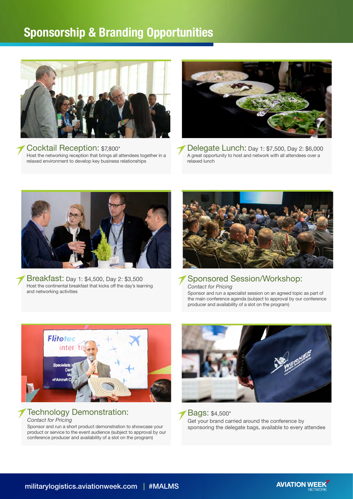## **Sponsorship & Branding Opportunities**



Cocktail Reception: \$7,800\* Host the networking reception that brings all attendees together in a relaxed environment to develop key business relationships



Delegate Lunch: Day 1: \$7,500, Day 2: \$6,000 A great opportunity to host and network with all attendees over a relaxed lunch



Breakfast: Day 1: \$4,500, Day 2: \$3,500 Host the continental breakfast that kicks off the day's learning and networking activities



Sponsored Session/Workshop: *Contact for Pricing*

Sponsor and run a specialist session on an agreed topic as part of the main conference agenda (subject to approval by our conference producer and availability of a slot on the program)



#### Technology Demonstration: *Contact for Pricing*

Sponsor and run a short product demonstration to showcase your product or service to the event audience (subject to approval by our conference producer and availability of a slot on the program)



Bags: \$4,500\* Get your brand carried around the conference by sponsoring the delegate bags, available to every attendee

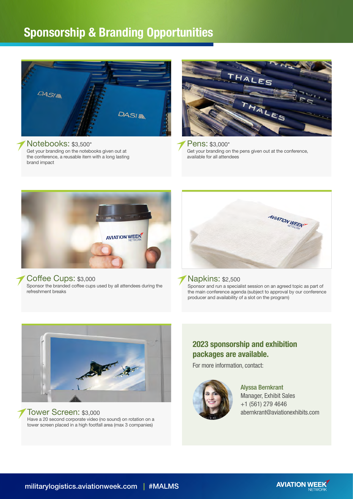## **Sponsorship & Branding Opportunities**



#### Notebooks: \$3,500\*

Get your branding on the notebooks given out at the conference, a reusable item with a long lasting brand impact



Pens: \$3,000\* Get your branding on the pens given out at the conference, available for all attendees



#### Coffee Cups: \$3,000

Sponsor the branded coffee cups used by all attendees during the refreshment breaks



#### Napkins: \$2,500

Sponsor and run a specialist session on an agreed topic as part of the main conference agenda (subject to approval by our conference producer and availability of a slot on the program)



#### Tower Screen: \$3,000

Have a 20 second corporate video (no sound) on rotation on a tower screen placed in a high footfall area (max 3 companies)

#### **2023 sponsorship and exhibition packages are available.**

For more information, contact:



Alyssa Bernkrant Manager, Exhibit Sales +1 (561) 279 4646 abernkrant@aviationexhibits.com